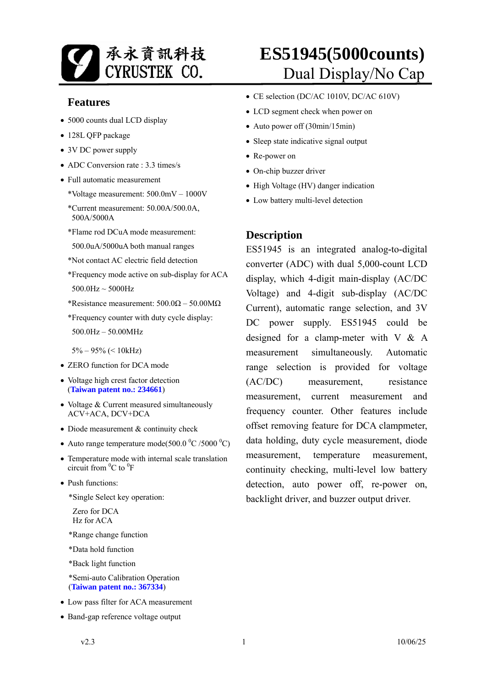

#### **Features**

- 5000 counts dual LCD display
- 128L QFP package
- 3V DC power supply
- ADC Conversion rate : 3.3 times/s
- Full automatic measurement

\*Voltage measurement: 500.0mV – 1000V

- \*Current measurement: 50.00A/500.0A, 500A/5000A
- \*Flame rod DCuA mode measurement:
- 500.0uA/5000uA both manual ranges
- \*Not contact AC electric field detection
- \*Frequency mode active on sub-display for ACA  $500.0$ Hz  $\sim 5000$ Hz
- \*Resistance measurement:  $500.0\Omega 50.00\text{M}\Omega$
- \*Frequency counter with duty cycle display: 500.0Hz – 50.00MHz
- 5% 95% (< 10kHz)
- ZERO function for DCA mode
- Voltage high crest factor detection (**Taiwan patent no.: 234661**)
- Voltage & Current measured simultaneously ACV+ACA, DCV+DCA
- Diode measurement & continuity check
- Auto range temperature mode(500.0  $^0C/5000$   $^0C)$ )
- Temperature mode with internal scale translation circuit from  ${}^{0}C$  to  ${}^{0}F$
- Push functions:

\*Single Select key operation:

Zero for DCA Hz for ACA

\*Range change function

\*Data hold function

\*Back light function

 \*Semi-auto Calibration Operation (**Taiwan patent no.: 367334**)

- Low pass filter for ACA measurement
- Band-gap reference voltage output
- CE selection (DC/AC 1010V, DC/AC 610V)
- LCD segment check when power on
- Auto power off (30min/15min)
- Sleep state indicative signal output
- Re-power on
- On-chip buzzer driver
- High Voltage (HV) danger indication
- Low battery multi-level detection

#### **Description**

ES51945 is an integrated analog**-**to**-**digital converter (ADC) with dual 5,000-count LCD display, which 4-digit main-display (AC/DC Voltage) and 4-digit sub-display (AC/DC Current), automatic range selection, and 3V DC power supply. ES51945 could be designed for a clamp-meter with  $V \& A$ measurement simultaneously. Automatic range selection is provided for voltage (AC/DC) measurement, resistance measurement, current measurement and frequency counter. Other features include offset removing feature for DCA clampmeter, data holding, duty cycle measurement, diode measurement, temperature measurement, continuity checking, multi-level low battery detection, auto power off, re-power on, backlight driver, and buzzer output driver.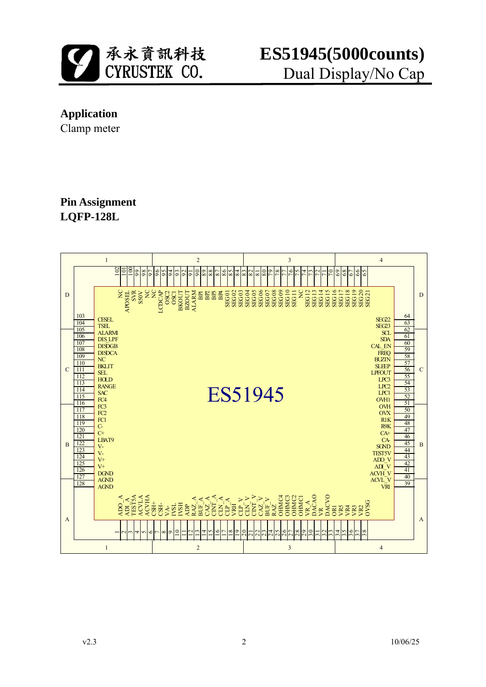

### **Application**

Clamp meter

### **Pin Assignment LQFP-128L**

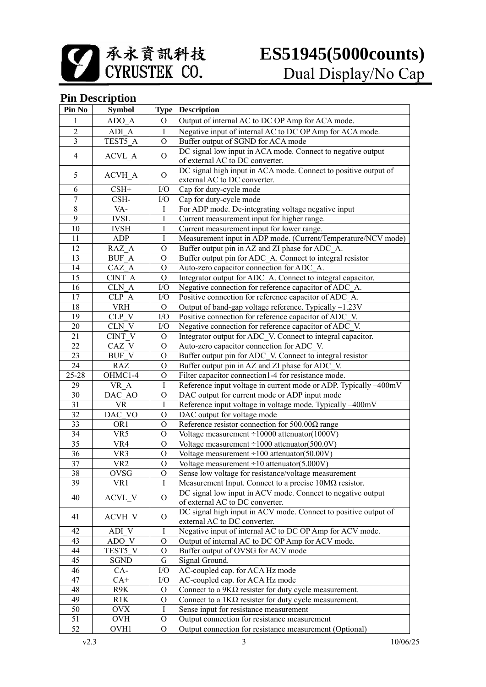承永資訊科技<br>CYRUSTEK CO.

## **ES51945(5000counts)** Dual Display/No Cap

### **Pin Description**

| Pin No          | <b>Symbol</b>   |                | <b>Type Description</b>                                          |  |
|-----------------|-----------------|----------------|------------------------------------------------------------------|--|
| 1               | ADO A           | $\circ$        | Output of internal AC to DC OP Amp for ACA mode.                 |  |
| $\overline{2}$  | ADI A           | I              | Negative input of internal AC to DC OP Amp for ACA mode.         |  |
| 3               | TEST5 A         | $\Omega$       | Buffer output of SGND for ACA mode                               |  |
|                 |                 |                | DC signal low input in ACA mode. Connect to negative output      |  |
| 4               | <b>ACVL_A</b>   | $\mathbf{O}$   | of external AC to DC converter.                                  |  |
| 5               |                 | $\mathbf{O}$   | DC signal high input in ACA mode. Connect to positive output of  |  |
|                 | <b>ACVH_A</b>   |                | external AC to DC converter.                                     |  |
| 6               | $CSH+$          | I/O            | Cap for duty-cycle mode                                          |  |
| 7               | CSH-            | I/O            | Cap for duty-cycle mode                                          |  |
| $\,$ $\,$       | VA-             | Ι              | For ADP mode. De-integrating voltage negative input              |  |
| 9               | <b>IVSL</b>     | Ι              | Current measurement input for higher range.                      |  |
| 10              | <b>IVSH</b>     | I              | Current measurement input for lower range.                       |  |
| 11              | ADP             | Ι              | Measurement input in ADP mode. (Current/Temperature/NCV mode)    |  |
| 12              | RAZ A           | $\mathcal{O}$  | Buffer output pin in AZ and ZI phase for ADC_A.                  |  |
| 13              | <b>BUF A</b>    | $\mathbf{O}$   | Buffer output pin for ADC_A. Connect to integral resistor        |  |
| 14              | CAZ A           | $\overline{O}$ | Auto-zero capacitor connection for ADC A.                        |  |
| 15              | CINT A          | $\Omega$       | Integrator output for ADC A. Connect to integral capacitor.      |  |
| 16              | CLN A           | I/O            | Negative connection for reference capacitor of ADC A.            |  |
| 17              | CLP A           | I/O            | Positive connection for reference capacitor of ADC_A.            |  |
| 18              | <b>VRH</b>      | $\Omega$       | Output of band-gap voltage reference. Typically -1.23V           |  |
| 19              | CLP V           | I/O            | Positive connection for reference capacitor of ADC_V.            |  |
| 20              | CLN V           | I/O            | Negative connection for reference capacitor of ADC V.            |  |
| 21              | CINT V          | $\Omega$       | Integrator output for ADC V. Connect to integral capacitor.      |  |
| 22              | CAZ V           | $\mathcal{O}$  | Auto-zero capacitor connection for ADC V.                        |  |
| 23              | BUF V           | $\mathcal{O}$  | Buffer output pin for ADC_V. Connect to integral resistor        |  |
| 24              | <b>RAZ</b>      | $\mathcal{O}$  | Buffer output pin in AZ and ZI phase for ADC_V.                  |  |
| 25-28           | OHMC1-4         | $\mathbf{O}$   | Filter capacitor connection1-4 for resistance mode.              |  |
| 29              | VR_A            | Ι              | Reference input voltage in current mode or ADP. Typically -400mV |  |
| 30              | DAC AO          | $\mathbf{O}$   | DAC output for current mode or ADP input mode                    |  |
| $\overline{31}$ | <b>VR</b>       | I              | Reference input voltage in voltage mode. Typically -400mV        |  |
| $\overline{32}$ | DAC VO          | $\overline{O}$ | DAC output for voltage mode                                      |  |
| $\overline{33}$ | OR1             | $\overline{O}$ | Reference resistor connection for $500.00\Omega$ range           |  |
| 34              | VR5             | $\overline{O}$ | Voltage measurement $\div 10000$ attenuator(1000V)               |  |
| $\overline{35}$ | VR4             | $\overline{O}$ | Voltage measurement $\div 1000$ attenuator(500.0V)               |  |
| 36              | VR3             | $\mathcal{O}$  | Voltage measurement $\div 100$ attenuator(50.00V)                |  |
| $\overline{37}$ | VR <sub>2</sub> | $\overline{O}$ | Voltage measurement $\div 10$ attenuator(5.000V)                 |  |
| $\overline{38}$ | OVSG            | Ő              | Sense low voltage for resistance/voltage measurement             |  |
| 39              | VR1             | I              | Measurement Input. Connect to a precise $10M\Omega$ resistor.    |  |
|                 |                 |                | DC signal low input in ACV mode. Connect to negative output      |  |
| 40              | ACVL_V          | $\Omega$       | of external AC to DC converter.                                  |  |
|                 |                 |                | DC signal high input in ACV mode. Connect to positive output of  |  |
| 41              | <b>ACVH_V</b>   | $\mathbf{O}$   | external AC to DC converter.                                     |  |
| 42              | ADI V           | Ι              | Negative input of internal AC to DC OP Amp for ACV mode.         |  |
| 43              | ADO V           | O              | Output of internal AC to DC OP Amp for ACV mode.                 |  |
| 44              | TEST5 V         | O              | Buffer output of OVSG for ACV mode                               |  |
| 45              | SGND            | G              | Signal Ground.                                                   |  |
| 46              | CA-             | ${\rm I/O}$    | AC-coupled cap. for ACA Hz mode                                  |  |
| 47              | $CA+$           | I/O            | AC-coupled cap. for ACA Hz mode                                  |  |
| 48              | R9K             | $\Omega$       | Connect to a $9K\Omega$ resister for duty cycle measurement.     |  |
| 49              | R1K             | O              | Connect to a $1K\Omega$ resister for duty cycle measurement.     |  |
| 50              | <b>OVX</b>      | Ι              | Sense input for resistance measurement                           |  |
| 51              | <b>OVH</b>      | $\Omega$       | Output connection for resistance measurement                     |  |
| 52              | OVH1            | $\Omega$       | Output connection for resistance measurement (Optional)          |  |
|                 |                 |                |                                                                  |  |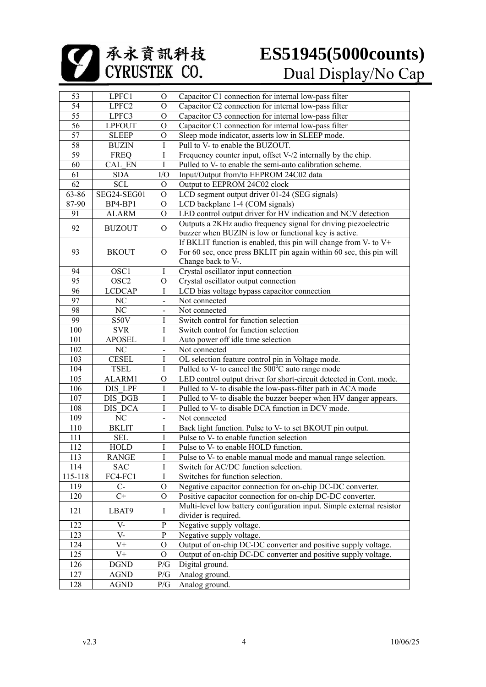承永資訊科技<br>CYRUSTEK CO.

| 53              | LPFC1            | $\Omega$                 | Capacitor C1 connection for internal low-pass filter                  |  |
|-----------------|------------------|--------------------------|-----------------------------------------------------------------------|--|
| $\overline{54}$ | LPFC2            | $\Omega$                 | Capacitor C2 connection for internal low-pass filter                  |  |
| $\overline{55}$ | LPFC3            | $\mathcal{O}$            | Capacitor C3 connection for internal low-pass filter                  |  |
| 56              | <b>LPFOUT</b>    | $\mathcal{O}$            | Capacitor C1 connection for internal low-pass filter                  |  |
| $\overline{57}$ | <b>SLEEP</b>     | $\mathcal{O}$            | Sleep mode indicator, asserts low in SLEEP mode.                      |  |
| $\overline{58}$ | <b>BUZIN</b>     | $\mathbf I$              | Pull to V- to enable the BUZOUT.                                      |  |
| $\overline{59}$ | <b>FREQ</b>      | $\rm I$                  | Frequency counter input, offset V-/2 internally by the chip.          |  |
| 60              | CAL EN           | $\mathbf I$              | Pulled to V- to enable the semi-auto calibration scheme.              |  |
| 61              | <b>SDA</b>       | I/O                      | Input/Output from/to EEPROM 24C02 data                                |  |
| $\overline{62}$ | <b>SCL</b>       | $\mathcal{O}$            | Output to EEPROM 24C02 clock                                          |  |
| 63-86           | SEG24-SEG01      | $\mathcal{O}$            | LCD segment output driver 01-24 (SEG signals)                         |  |
| 87-90           | BP4-BP1          | $\mathcal{O}$            | LCD backplane 1-4 (COM signals)                                       |  |
| 91              | <b>ALARM</b>     | $\mathcal{O}$            | LED control output driver for HV indication and NCV detection         |  |
|                 |                  |                          | Outputs a 2KHz audio frequency signal for driving piezoelectric       |  |
| 92              | <b>BUZOUT</b>    | $\Omega$                 | buzzer when BUZIN is low or functional key is active.                 |  |
|                 |                  |                          | If BKLIT function is enabled, this pin will change from V- to $V^+$   |  |
| 93              | <b>BKOUT</b>     | $\Omega$                 | For 60 sec, once press BKLIT pin again within 60 sec, this pin will   |  |
|                 |                  |                          | Change back to V-.                                                    |  |
|                 |                  |                          |                                                                       |  |
| 94              | OSC1             | $\bf{I}$                 | Crystal oscillator input connection                                   |  |
| 95              | OSC <sub>2</sub> | $\mathcal{O}$            | Crystal oscillator output connection                                  |  |
| 96              | <b>LCDCAP</b>    | $\mathbf I$              | LCD bias voltage bypass capacitor connection                          |  |
| 97              | $\rm NC$         | $\overline{a}$           | Not connected                                                         |  |
| 98              | NC               | $\overline{\phantom{0}}$ | Not connected                                                         |  |
| 99              | S50V             | $\bf{I}$                 | Switch control for function selection                                 |  |
| 100             | <b>SVR</b>       | Ι                        | Switch control for function selection                                 |  |
| 101             | <b>APOSEL</b>    | I                        | Auto power off idle time selection                                    |  |
| 102             | $\rm NC$         | $\overline{a}$           | Not connected                                                         |  |
| 103             | <b>CESEL</b>     | $\bf{I}$                 | OL selection feature control pin in Voltage mode.                     |  |
| 104             | <b>TSEL</b>      | $\mathbf I$              | Pulled to V- to cancel the 500°C auto range mode                      |  |
| 105             | ALARM1           | $\mathcal{O}$            | LED control output driver for short-circuit detected in Cont. mode.   |  |
| 106             | DIS LPF          | $\bf I$                  | Pulled to V- to disable the low-pass-filter path in ACA mode          |  |
| 107             | DIS DGB          | I                        | Pulled to V- to disable the buzzer beeper when HV danger appears.     |  |
| 108             | DIS DCA          | I                        | Pulled to V- to disable DCA function in DCV mode.                     |  |
| 109             | $\rm NC$         | $\ddot{\phantom{a}}$     | Not connected                                                         |  |
| 110             | <b>BKLIT</b>     | I                        | Back light function. Pulse to V- to set BKOUT pin output.             |  |
| 111             | <b>SEL</b>       | I                        | Pulse to V- to enable function selection                              |  |
| 112             | <b>HOLD</b>      | I                        | Pulse to V- to enable HOLD function.                                  |  |
| 113             | <b>RANGE</b>     | $\bf{l}$                 | Pulse to V- to enable manual mode and manual range selection.         |  |
| 114             | <b>SAC</b>       | I                        | Switch for AC/DC function selection.                                  |  |
| 115-118         | FC4-FC1          | I                        | Switches for function selection.                                      |  |
| 119             | $C-$             | $\mathcal{O}$            | Negative capacitor connection for on-chip DC-DC converter.            |  |
| 120             | $C+$             | $\mathcal{O}$            |                                                                       |  |
|                 |                  |                          | Positive capacitor connection for on-chip DC-DC converter.            |  |
| 121             | LBAT9            | $\bf{I}$                 | Multi-level low battery configuration input. Simple external resistor |  |
|                 |                  |                          | divider is required.                                                  |  |
| 122             | $V -$            | ${\bf P}$                | Negative supply voltage.                                              |  |
| 123             | $V -$            | ${\bf P}$                | Negative supply voltage.                                              |  |
| 124             | V+               | $\Omega$                 | Output of on-chip DC-DC converter and positive supply voltage.        |  |
| 125             | $V^+$            | $\Omega$                 | Output of on-chip DC-DC converter and positive supply voltage.        |  |
| 126             | <b>DGND</b>      | P/G                      | Digital ground.                                                       |  |
| 127             | <b>AGND</b>      | P/G                      | Analog ground.                                                        |  |
| 128             | <b>AGND</b>      | $\mathbb{P}/\mathbb{G}$  | Analog ground.                                                        |  |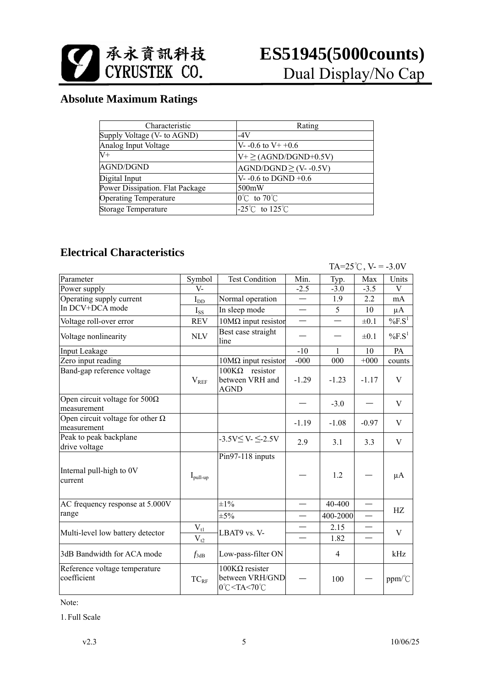

### **Absolute Maximum Ratings**

| Characteristic                  | Rating                              |
|---------------------------------|-------------------------------------|
| Supply Voltage (V- to AGND)     | $-4V$                               |
| Analog Input Voltage            | V- -0.6 to V+ +0.6                  |
| $\overline{\mathrm{V}^+}$       | $V^+ \geq (AGND/DGND+0.5V)$         |
| <b>AGND/DGND</b>                | $AGND/DGND \ge (V-0.5V)$            |
| Digital Input                   | $V - 0.6$ to DGND +0.6              |
| Power Dissipation. Flat Package | 500mW                               |
| <b>Operating Temperature</b>    | $0^{\circ}$ C to 70 $^{\circ}$ C    |
| Storage Temperature             | $-25^{\circ}$ C to 125 $^{\circ}$ C |

### **Electrical Characteristics**

|                                                                |                      |                                                                                                                      |                          |                | TA= $25^{\circ}$ C, V- = -3.0V |                       |
|----------------------------------------------------------------|----------------------|----------------------------------------------------------------------------------------------------------------------|--------------------------|----------------|--------------------------------|-----------------------|
| Parameter                                                      | Symbol               | <b>Test Condition</b>                                                                                                | Min.                     | Typ.           | Max                            | Units                 |
| Power supply                                                   | $V -$                |                                                                                                                      | $-2.5$                   | $-3.0$         | $-3.5$                         | V                     |
| Operating supply current                                       | $I_{DD}$             | Normal operation                                                                                                     | $\overline{\phantom{0}}$ | 1.9            | 2.2                            | mA                    |
| In DCV+DCA mode                                                | $I_{SS}$             | In sleep mode                                                                                                        |                          | 5              | 10                             | $\mu A$               |
| Voltage roll-over error                                        | <b>REV</b>           | $10M\Omega$ input resistor                                                                                           |                          |                | $\pm 0.1$                      | $\%F.S^1$             |
| Voltage nonlinearity                                           | <b>NLV</b>           | Best case straight<br>line                                                                                           |                          |                | $\pm 0.1$                      | $\%$ F.S <sup>1</sup> |
| Input Leakage                                                  |                      |                                                                                                                      | $-10$                    | 1              | 10                             | PA                    |
| Zero input reading                                             |                      | $10M\Omega$ input resistor                                                                                           | $-000$                   | 000            | $+000$                         | counts                |
| Band-gap reference voltage                                     | $\rm V_{REF}$        | $100K\Omega$ resistor<br>between VRH and<br><b>AGND</b>                                                              | $-1.29$                  | $-1.23$        | $-1.17$                        | V                     |
| Open circuit voltage for $\overline{500\Omega}$<br>measurement |                      |                                                                                                                      |                          | $-3.0$         |                                | V                     |
| Open circuit voltage for other $\Omega$<br>measurement         |                      |                                                                                                                      | $-1.19$                  | $-1.08$        | $-0.97$                        | V                     |
| Peak to peak backplane<br>drive voltage                        |                      | $-3.5V \le V \le -2.5V$                                                                                              | 2.9                      | 3.1            | 3.3                            | V                     |
| Internal pull-high to 0V<br>current                            | $I_{\text{pull-up}}$ | Pin97-118 inputs                                                                                                     |                          | 1.2            |                                | μA                    |
| AC frequency response at 5.000V                                |                      | $\pm 1\%$                                                                                                            |                          | 40-400         | $\overline{\phantom{0}}$       |                       |
| range                                                          |                      | $\pm 5\%$                                                                                                            | $\overline{\phantom{0}}$ | 400-2000       | $\overline{\phantom{0}}$       | HZ                    |
|                                                                | $V_{tl}$             |                                                                                                                      | $\overline{\phantom{0}}$ | 2.15           |                                |                       |
| Multi-level low battery detector                               | $V_{t2}$             | LBAT9 vs. V-                                                                                                         | $\overline{\phantom{a}}$ | 1.82           | $\overline{\phantom{0}}$       | V                     |
| 3dB Bandwidth for ACA mode                                     | $f_{3dB}$            | Low-pass-filter ON                                                                                                   |                          | $\overline{4}$ |                                | kHz                   |
| Reference voltage temperature<br>coefficient                   | $TC_{RF}$            | $100$ ΚΩ resister<br>between VRH/GND<br>0°C <ta<70°c< td=""><td></td><td>100</td><td></td><td>ppm/°C</td></ta<70°c<> |                          | 100            |                                | ppm/°C                |

Note:

1. Full Scale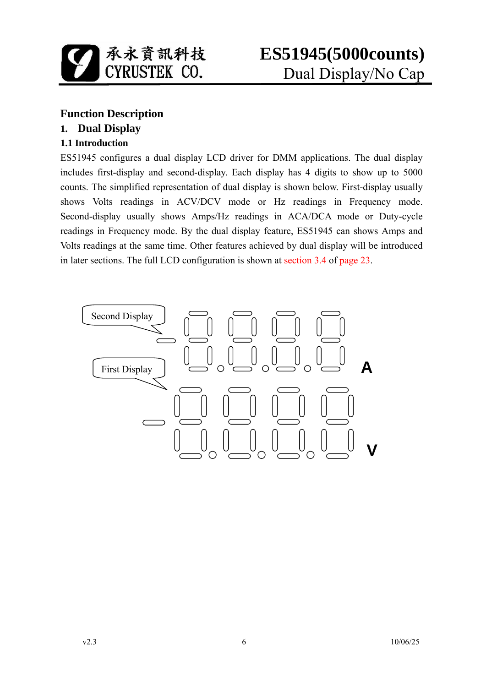

### **Function Description**

### **1. Dual Display**

### **1.1 Introduction**

ES51945 configures a dual display LCD driver for DMM applications. The dual display includes first-display and second-display. Each display has 4 digits to show up to 5000 counts. The simplified representation of dual display is shown below. First-display usually shows Volts readings in ACV/DCV mode or Hz readings in Frequency mode. Second-display usually shows Amps/Hz readings in ACA/DCA mode or Duty-cycle readings in Frequency mode. By the dual display feature, ES51945 can shows Amps and Volts readings at the same time. Other features achieved by dual display will be introduced in later sections. The full LCD configuration is shown at section 3.4 of page 23.

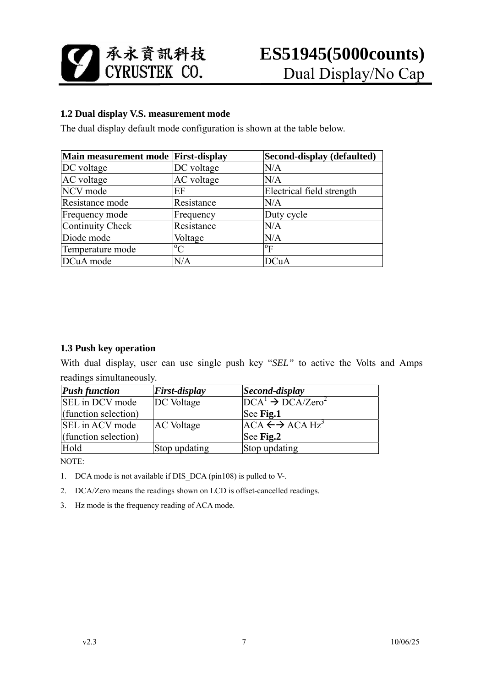

#### **1.2 Dual display V.S. measurement mode**

The dual display default mode configuration is shown at the table below.

| Main measurement mode First-display |             | Second-display (defaulted) |
|-------------------------------------|-------------|----------------------------|
| DC voltage                          | DC voltage  | N/A                        |
| AC voltage                          | AC voltage  | N/A                        |
| NCV mode                            | EF          | Electrical field strength  |
| Resistance mode                     | Resistance  | N/A                        |
| Frequency mode                      | Frequency   | Duty cycle                 |
| Continuity Check                    | Resistance  | N/A                        |
| Diode mode                          | Voltage     | N/A                        |
| Temperature mode                    | $\rm ^{o}C$ | $\rm ^{o}F$                |
| DCuA mode                           | N/A         | DCuA                       |

#### **1.3 Push key operation**

With dual display, user can use single push key "*SEL"* to active the Volts and Amps readings simultaneously.

| <b>Push function</b>   | <b>First-display</b> | Second-display                            |
|------------------------|----------------------|-------------------------------------------|
| <b>SEL</b> in DCV mode | DC Voltage           | $\overline{D}CA^1 \rightarrow DCA/Zero^2$ |
| (function selection)   |                      | See Fig.1                                 |
| <b>SEL</b> in ACV mode | <b>AC</b> Voltage    | $ACA \leftrightarrow ACA Hz^3$            |
| (function selection)   |                      | See Fig.2                                 |
| Hold                   | Stop updating        | Stop updating                             |

NOTE:

- 1. DCA mode is not available if DIS\_DCA (pin108) is pulled to V-.
- 2. DCA/Zero means the readings shown on LCD is offset-cancelled readings.
- 3. Hz mode is the frequency reading of ACA mode.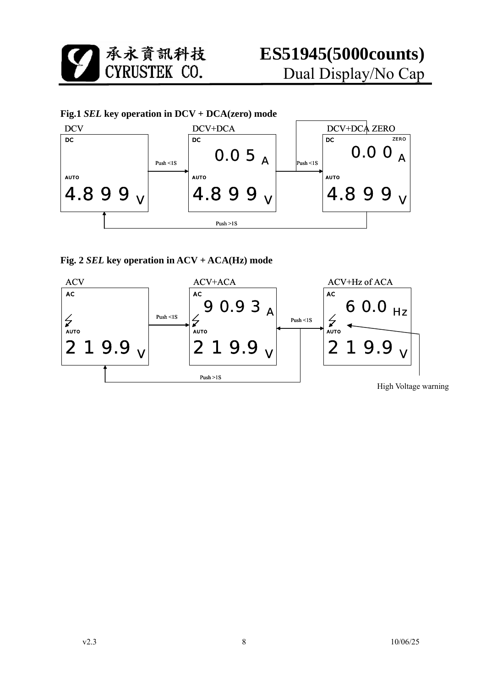

**Fig. 2** *SEL* **key operation in ACV + ACA(Hz) mode** 

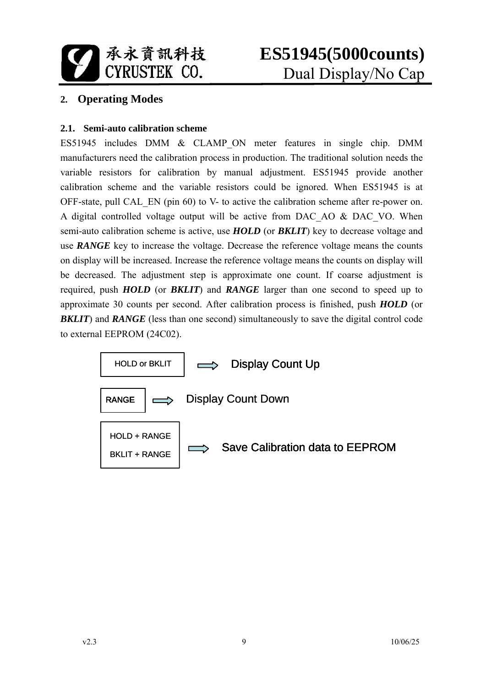

### **2. Operating Modes**

#### **2.1. Semi-auto calibration scheme**

ES51945 includes DMM & CLAMP\_ON meter features in single chip. DMM manufacturers need the calibration process in production. The traditional solution needs the variable resistors for calibration by manual adjustment. ES51945 provide another calibration scheme and the variable resistors could be ignored. When ES51945 is at OFF-state, pull CAL\_EN (pin 60) to V- to active the calibration scheme after re-power on. A digital controlled voltage output will be active from DAC\_AO & DAC\_VO. When semi-auto calibration scheme is active, use *HOLD* (or *BKLIT*) key to decrease voltage and use *RANGE* key to increase the voltage. Decrease the reference voltage means the counts on display will be increased. Increase the reference voltage means the counts on display will be decreased. The adjustment step is approximate one count. If coarse adjustment is required, push *HOLD* (or *BKLIT*) and *RANGE* larger than one second to speed up to approximate 30 counts per second. After calibration process is finished, push *HOLD* (or **BKLIT**) and **RANGE** (less than one second) simultaneously to save the digital control code to external EEPROM (24C02).

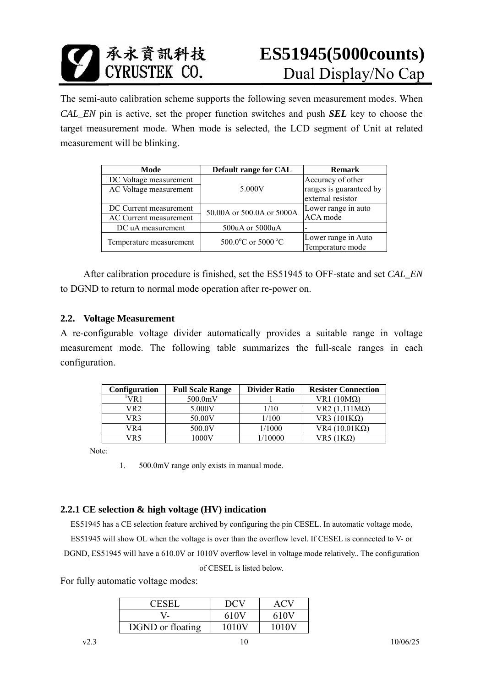

The semi-auto calibration scheme supports the following seven measurement modes. When *CAL\_EN* pin is active, set the proper function switches and push *SEL* key to choose the target measurement mode. When mode is selected, the LCD segment of Unit at related measurement will be blinking.

| Mode                    | Default range for CAL     | <b>Remark</b>           |
|-------------------------|---------------------------|-------------------------|
| DC Voltage measurement  |                           | Accuracy of other       |
| AC Voltage measurement  | 5.000V                    | ranges is guaranteed by |
|                         |                           | external resistor       |
| DC Current measurement  | 50.00A or 500.0A or 5000A | Lower range in auto     |
| AC Current measurement  |                           | ACA mode                |
| DC uA measurement       | 500uA or 5000uA           |                         |
|                         | 500.0°C or 5000 °C        | Lower range in Auto     |
| Temperature measurement |                           | Temperature mode        |

 After calibration procedure is finished, set the ES51945 to OFF-state and set *CAL\_EN* to DGND to return to normal mode operation after re-power on.

#### **2.2. Voltage Measurement**

A re-configurable voltage divider automatically provides a suitable range in voltage measurement mode. The following table summarizes the full-scale ranges in each configuration.

| <b>Configuration</b> | <b>Full Scale Range</b> | <b>Divider Ratio</b> | <b>Resister Connection</b> |
|----------------------|-------------------------|----------------------|----------------------------|
| VR 1                 | 500.0mV                 |                      | VR1 $(10M\Omega)$          |
| VR2                  | 5.000V                  | /10                  | $VR2 (1.111 M\Omega)$      |
| VR3                  | 50.00V                  | l/100                | VR3 $(101K\Omega)$         |
| VR4                  | 500.0V                  | 1/1000               | VR4 $(10.01K\Omega)$       |
| /R5                  | 1000V                   | /10000               | $VR5(1K\Omega)$            |

Note:

1. 500.0mV range only exists in manual mode.

#### **2.2.1 CE selection & high voltage (HV) indication**

ES51945 has a CE selection feature archived by configuring the pin CESEL. In automatic voltage mode, ES51945 will show OL when the voltage is over than the overflow level. If CESEL is connected to V- or DGND, ES51945 will have a 610.0V or 1010V overflow level in voltage mode relatively.. The configuration of CESEL is listed below.

For fully automatic voltage modes:

| <b>CESEI</b>     | DCV   | ACV   |
|------------------|-------|-------|
|                  | 610V  | 610V  |
| DGND or floating | 1010V | 1010V |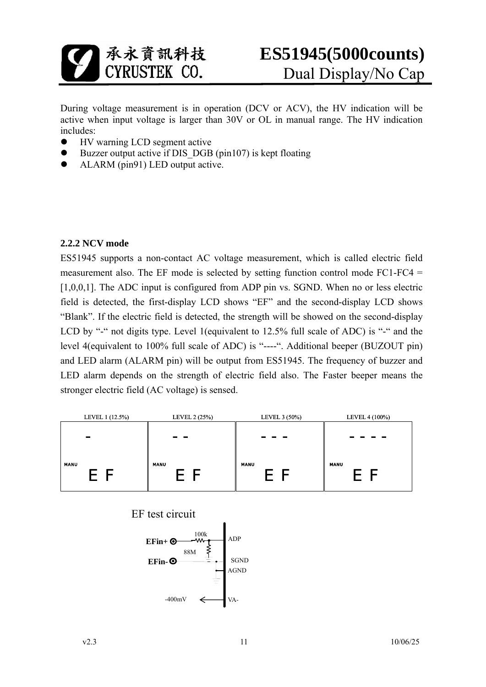

During voltage measurement is in operation (DCV or ACV), the HV indication will be active when input voltage is larger than 30V or OL in manual range. The HV indication includes:

- HV warning LCD segment active
- Buzzer output active if DIS DGB (pin107) is kept floating
- ALARM (pin91) LED output active.

#### **2.2.2 NCV mode**

ES51945 supports a non-contact AC voltage measurement, which is called electric field measurement also. The EF mode is selected by setting function control mode FC1-FC4 = [1,0,0,1]. The ADC input is configured from ADP pin vs. SGND. When no or less electric field is detected, the first-display LCD shows "EF" and the second-display LCD shows "Blank". If the electric field is detected, the strength will be showed on the second-display LCD by "-" not digits type. Level 1(equivalent to 12.5% full scale of ADC) is "-" and the level 4(equivalent to 100% full scale of ADC) is "----". Additional beeper (BUZOUT pin) and LED alarm (ALARM pin) will be output from ES51945. The frequency of buzzer and LED alarm depends on the strength of electric field also. The Faster beeper means the stronger electric field (AC voltage) is sensed.

| LEVEL 1 (12.5%) | LEVEL 2 (25%) | LEVEL 3 (50%)       | LEVEL 4 (100%) |
|-----------------|---------------|---------------------|----------------|
|                 |               |                     |                |
| $\blacksquare$  | - -           | $\mathbf{r}$<br>- - | - -            |
|                 |               |                     |                |
| <b>MANU</b>     | <b>MANU</b>   | <b>MANU</b>         | <b>MANU</b>    |
| $E$ F           | E F           | $E$ $F$             | E F            |
|                 |               |                     |                |

EF test circuit

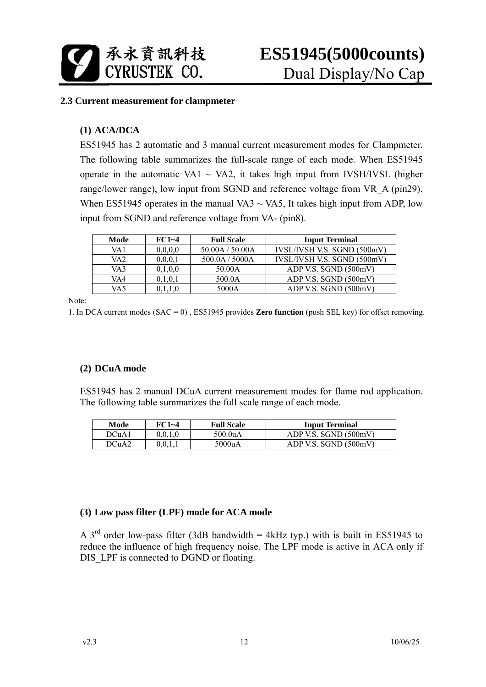

#### **2.3 Current measurement for clampmeter**

#### **(1) ACA/DCA**

ES51945 has 2 automatic and 3 manual current measurement modes for Clampmeter. The following table summarizes the full-scale range of each mode. When ES51945 operate in the automatic VA1  $\sim$  VA2, it takes high input from IVSH/IVSL (higher range/lower range), low input from SGND and reference voltage from VR A (pin29). When ES51945 operates in the manual VA3  $\sim$  VA5, It takes high input from ADP, low input from SGND and reference voltage from VA- (pin8).

| Mode | $FC1~-4$ | <b>Full Scale</b> | <b>Input Terminal</b>       |
|------|----------|-------------------|-----------------------------|
| VA 1 | 0,0,0,0  | 50.00A / 50.00A   | IVSL/IVSH V.S. SGND (500mV) |
| VA2  | 0,0,0,1  | 500.0A / 5000A    | IVSL/IVSH V.S. SGND (500mV) |
| VA3  | 0,1,0,0  | 50.00A            | ADP V.S. SGND (500mV)       |
| VA4  | 0,1,0,1  | 500.0A            | ADP V.S. SGND (500mV)       |
| VA5  |          | 5000A             | ADP V.S. SGND (500mV)       |

Note:

1. In DCA current modes (SAC = 0) , ES51945 provides **Zero function** (push SEL key) for offset removing.

#### **(2) DCuA mode**

ES51945 has 2 manual DCuA current measurement modes for flame rod application. The following table summarizes the full scale range of each mode.

| Mode              | FC1~4   | <b>Full Scale</b> | <b>Input Terminal</b> |
|-------------------|---------|-------------------|-----------------------|
| DCuA1             | 0.0.1.0 | 500.0uA           | ADP V.S. SGND (500mV) |
| DCuA <sub>2</sub> | 0.0.1.1 | 5000uA            | ADP V.S. SGND (500mV) |

#### **(3) Low pass filter (LPF) mode for ACA mode**

A  $3<sup>rd</sup>$  order low-pass filter (3dB bandwidth = 4kHz typ.) with is built in ES51945 to reduce the influence of high frequency noise. The LPF mode is active in ACA only if DIS LPF is connected to DGND or floating.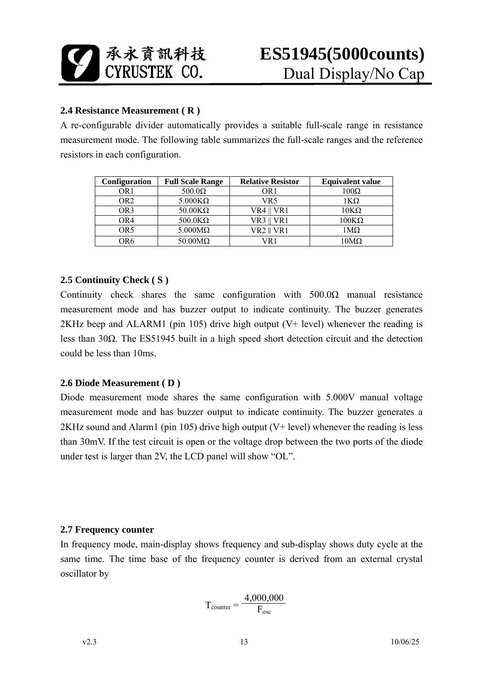

#### **2.4 Resistance Measurement ( R )**

A re-configurable divider automatically provides a suitable full-scale range in resistance measurement mode. The following table summarizes the full-scale ranges and the reference resistors in each configuration.

| <b>Configuration</b> | <b>Full Scale Range</b> | <b>Relative Resistor</b> | <b>Equivalent value</b> |
|----------------------|-------------------------|--------------------------|-------------------------|
| OR 1                 | $500.0\Omega$           | OR 1                     | $100\Omega$             |
| OR2                  | $5.000K\Omega$          | VR5                      | 1ΚΩ                     |
| OR3                  | $50.00K\Omega$          | VR4    VR1               | $10K\Omega$             |
| OR4                  | $500.0K\Omega$          | $VR3$    $VR1$           | $100\mathrm{K}\Omega$   |
| OR5                  | $5.000 \text{M}\Omega$  | VR2    VR1               | 1Μ $\Omega$             |
| OR6                  | $50.00 \text{M}\Omega$  | /R 1                     | $10\mathrm{M}\Omega$    |

#### **2.5 Continuity Check ( S )**

Continuity check shares the same configuration with  $500.0\Omega$  manual resistance measurement mode and has buzzer output to indicate continuity. The buzzer generates 2KHz beep and ALARM1 (pin 105) drive high output (V+ level) whenever the reading is less than 30Ω. The ES51945 built in a high speed short detection circuit and the detection could be less than 10ms.

#### **2.6 Diode Measurement ( D )**

Diode measurement mode shares the same configuration with 5.000V manual voltage measurement mode and has buzzer output to indicate continuity. The buzzer generates a 2KHz sound and Alarm1 (pin 105) drive high output (V+ level) whenever the reading is less than 30mV. If the test circuit is open or the voltage drop between the two ports of the diode under test is larger than 2V, the LCD panel will show "OL".

#### **2.7 Frequency counter**

In frequency mode, main-display shows frequency and sub-display shows duty cycle at the same time. The time base of the frequency counter is derived from an external crystal oscillator by

$$
T_{\text{counter}} = \frac{4,000,000}{F_{\text{osc}}}
$$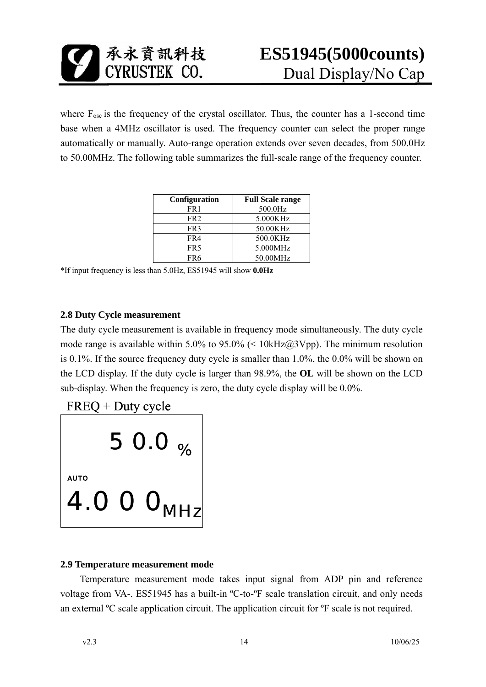

where  $F_{\text{osc}}$  is the frequency of the crystal oscillator. Thus, the counter has a 1-second time base when a 4MHz oscillator is used. The frequency counter can select the proper range automatically or manually. Auto-range operation extends over seven decades, from 500.0Hz to 50.00MHz. The following table summarizes the full-scale range of the frequency counter.

| Configuration   | <b>Full Scale range</b> |
|-----------------|-------------------------|
| FR 1            | 500.0Hz                 |
| FR <sub>2</sub> | 5.000KHz                |
| FR <sub>3</sub> | 50.00KHz                |
| FR4             | 500.0KHz                |
| FR5             | 5.000MHz                |
| FR6             | 50.00MHz                |

\*If input frequency is less than 5.0Hz, ES51945 will show **0.0Hz**

#### **2.8 Duty Cycle measurement**

The duty cycle measurement is available in frequency mode simultaneously. The duty cycle mode range is available within 5.0% to 95.0% (<  $10kHz@3Vpp$ ). The minimum resolution is 0.1%. If the source frequency duty cycle is smaller than 1.0%, the 0.0% will be shown on the LCD display. If the duty cycle is larger than 98.9%, the **OL** will be shown on the LCD sub-display. When the frequency is zero, the duty cycle display will be 0.0%.





#### **2.9 Temperature measurement mode**

Temperature measurement mode takes input signal from ADP pin and reference voltage from VA-. ES51945 has a built-in ºC-to-ºF scale translation circuit, and only needs an external ºC scale application circuit. The application circuit for ºF scale is not required.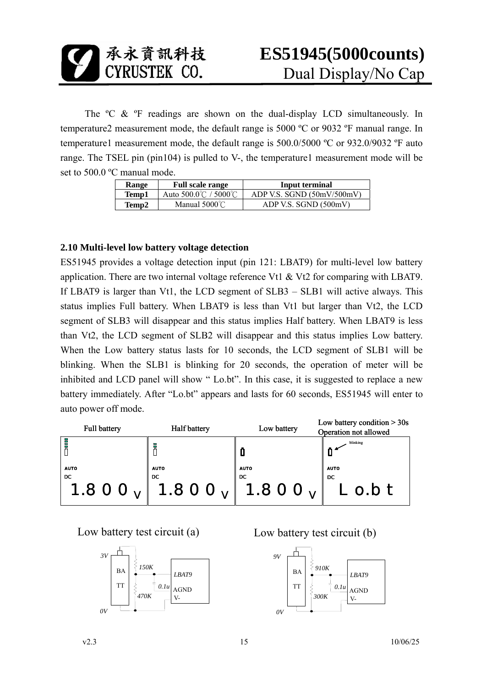

The <sup>o</sup>C & <sup>o</sup>F readings are shown on the dual-display LCD simultaneously. In temperature2 measurement mode, the default range is 5000 ºC or 9032 ºF manual range. In temperature1 measurement mode, the default range is 500.0/5000 ºC or 932.0/9032 ºF auto range. The TSEL pin (pin104) is pulled to V-, the temperature1 measurement mode will be set to 500.0 ºC manual mode.

| <b>Range</b> | <b>Full scale range</b> | Input terminal             |
|--------------|-------------------------|----------------------------|
| Temp1        | Auto 500.0℃ / 5000℃     | ADP V.S. SGND (50mV/500mV) |
| Temp2        | Manual $5000^{\circ}$ C | ADP V.S. SGND (500mV)      |

#### **2.10 Multi-level low battery voltage detection**

ES51945 provides a voltage detection input (pin 121: LBAT9) for multi-level low battery application. There are two internal voltage reference Vt1 & Vt2 for comparing with LBAT9. If LBAT9 is larger than Vt1, the LCD segment of SLB3 – SLB1 will active always. This status implies Full battery. When LBAT9 is less than Vt1 but larger than Vt2, the LCD segment of SLB3 will disappear and this status implies Half battery. When LBAT9 is less than Vt2, the LCD segment of SLB2 will disappear and this status implies Low battery. When the Low battery status lasts for 10 seconds, the LCD segment of SLB1 will be blinking. When the SLB1 is blinking for 20 seconds, the operation of meter will be inhibited and LCD panel will show " Lo.bt". In this case, it is suggested to replace a new battery immediately. After "Lo.bt" appears and lasts for 60 seconds, ES51945 will enter to auto power off mode.

| Full battery | Half battery                                       | Low battery | Low battery condition $>$ 30s<br>Operation not allowed |
|--------------|----------------------------------------------------|-------------|--------------------------------------------------------|
| Ē            |                                                    |             | blinking                                               |
| <b>AUTO</b>  | <b>AUTO</b>                                        | <b>AUTO</b> | <b>AUTO</b>                                            |
| DC           | DC<br>1.8 0 0 $_{V}$ 1.8 0 0 $_{V}$ 1.8 0 0 $_{V}$ | DC          | DC<br>$\boldsymbol{L}$ o.b $\boldsymbol{t}$            |



Low battery test circuit (a) Low battery test circuit (b)

![](_page_14_Figure_10.jpeg)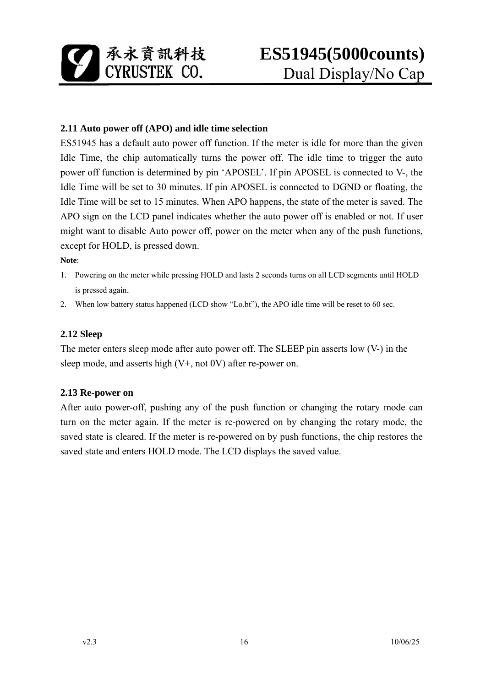![](_page_15_Picture_0.jpeg)

#### **2.11 Auto power off (APO) and idle time selection**

ES51945 has a default auto power off function. If the meter is idle for more than the given Idle Time, the chip automatically turns the power off. The idle time to trigger the auto power off function is determined by pin 'APOSEL'. If pin APOSEL is connected to V-, the Idle Time will be set to 30 minutes. If pin APOSEL is connected to DGND or floating, the Idle Time will be set to 15 minutes. When APO happens, the state of the meter is saved. The APO sign on the LCD panel indicates whether the auto power off is enabled or not. If user might want to disable Auto power off, power on the meter when any of the push functions, except for HOLD, is pressed down.

**Note**:

- 1. Powering on the meter while pressing HOLD and lasts 2 seconds turns on all LCD segments until HOLD is pressed again.
- 2. When low battery status happened (LCD show "Lo.bt"), the APO idle time will be reset to 60 sec.

#### **2.12 Sleep**

The meter enters sleep mode after auto power off. The SLEEP pin asserts low (V-) in the sleep mode, and asserts high (V+, not 0V) after re-power on.

#### **2.13 Re-power on**

After auto power-off, pushing any of the push function or changing the rotary mode can turn on the meter again. If the meter is re-powered on by changing the rotary mode, the saved state is cleared. If the meter is re-powered on by push functions, the chip restores the saved state and enters HOLD mode. The LCD displays the saved value.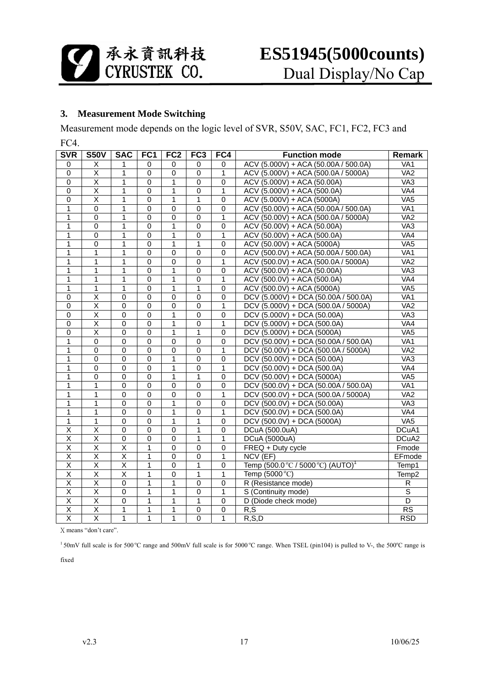![](_page_16_Picture_0.jpeg)

#### **3. Measurement Mode Switching**

Measurement mode depends on the logic level of SVR, S50V, SAC, FC1, FC2, FC3 and

F<sub>C4</sub>

| <b>SVR</b>              | <b>S50V</b>             | <b>SAC</b>              | FC <sub>1</sub> | FC <sub>2</sub> | FC <sub>3</sub> | FC4            | <b>Function mode</b>                          | Remark                  |
|-------------------------|-------------------------|-------------------------|-----------------|-----------------|-----------------|----------------|-----------------------------------------------|-------------------------|
| 0                       | Χ                       | 1                       | $\mathbf 0$     | $\mathbf 0$     | 0               | 0              | ACV (5.000V) + ACA (50.00A / 500.0A)          | V <sub>A1</sub>         |
| $\overline{0}$          | $\overline{\mathsf{x}}$ | $\mathbf{1}$            | $\mathbf 0$     | $\overline{0}$  | $\mathbf 0$     | $\overline{1}$ | ACV (5.000V) + ACA (500.0A / 5000A)           | VA <sub>2</sub>         |
| $\mathbf 0$             | $\overline{X}$          | 1                       | $\mathbf 0$     | 1               | $\mathbf 0$     | $\mathbf 0$    | ACV (5.000V) + ACA (50.00A)                   | V A3                    |
| $\overline{0}$          | $\overline{\mathsf{x}}$ | $\overline{1}$          | $\overline{0}$  | $\overline{1}$  | $\overline{0}$  | $\overline{1}$ | ACV (5.000V) + ACA (500.0A)                   | VA4                     |
| $\overline{0}$          | $\overline{\mathsf{x}}$ | $\overline{1}$          | $\overline{0}$  | $\overline{1}$  | $\overline{1}$  | $\overline{0}$ | ACV (5.000V) + ACA (5000A)                    | VA <sub>5</sub>         |
| $\overline{1}$          | $\overline{0}$          | $\overline{1}$          | $\overline{0}$  | $\overline{0}$  | $\overline{0}$  | $\overline{0}$ | ACV (50.00V) + ACA (50.00A / 500.0A)          | VA <sub>1</sub>         |
| $\mathbf{1}$            | $\mathbf 0$             | 1                       | $\mathbf 0$     | $\overline{0}$  | $\mathbf 0$     | 1              | ACV (50.00V) + ACA (500.0A / 5000A)           | V <sub>A2</sub>         |
| $\overline{1}$          | 0                       | $\mathbf{1}$            | $\overline{0}$  | 1               | $\mathbf 0$     | $\overline{0}$ | ACV (50.00V) + ACA (50.00A)                   | V A3                    |
| $\mathbf{1}$            | $\overline{0}$          | 1                       | $\Omega$        | $\mathbf{1}$    | $\Omega$        | 1              | ACV (50.00V) + ACA (500.0A)                   | VA4                     |
| 1                       | 0                       | 1                       | $\overline{0}$  | 1               | 1               | $\overline{0}$ | ACV (50.00V) + ACA (5000A)                    | VA <sub>5</sub>         |
| $\mathbf{1}$            | 1                       | 1                       | 0               | $\overline{0}$  | 0               | $\overline{0}$ | ACV (500.0V) + ACA (50.00A / 500.0A)          | VA <sub>1</sub>         |
| $\overline{1}$          | $\overline{1}$          | $\overline{1}$          | $\overline{0}$  | $\overline{0}$  | $\overline{0}$  | $\overline{1}$ | ACV (500.0V) + ACA (500.0A / 5000A)           | VA <sub>2</sub>         |
| $\overline{1}$          | $\overline{1}$          | $\overline{1}$          | $\overline{0}$  | $\overline{1}$  | $\overline{0}$  | $\overline{0}$ | ACV (500.0V) + ACA (50.00A)                   | V A3                    |
| $\overline{1}$          | $\overline{1}$          | $\overline{1}$          | $\overline{0}$  | $\overline{1}$  | $\overline{0}$  | $\mathbf{1}$   | ACV (500.0V) + ACA (500.0A)                   | VA <sub>4</sub>         |
| $\mathbf{1}$            | 1                       | 1                       | $\mathbf 0$     | 1               | 1               | 0              | ACV (500.0V) + ACA (5000A)                    | VAS                     |
| $\overline{0}$          | $\overline{\mathsf{x}}$ | $\overline{0}$          | $\overline{0}$  | $\overline{0}$  | 0               | $\overline{0}$ | DCV (5.000V) + DCA (50.00A / 500.0A)          | $\overline{VA1}$        |
| $\overline{0}$          | $\overline{\mathsf{x}}$ | $\overline{0}$          | $\overline{0}$  | 0               | $\mathbf 0$     | $\mathbf{1}$   | DCV (5.000V) + DCA (500.0A / 5000A)           | VA <sub>2</sub>         |
| $\overline{0}$          | $\overline{\mathsf{x}}$ | $\overline{0}$          | $\overline{0}$  | $\overline{1}$  | $\overline{0}$  | $\overline{0}$ | DCV (5.000V) + DCA (50.00A)                   | VA3                     |
| $\mathbf 0$             | $\overline{\mathsf{x}}$ | $\overline{0}$          | $\mathbf 0$     | 1               | $\mathbf 0$     | 1              | DCV (5.000V) + DCA (500.0A)                   | $\overline{\text{VA4}}$ |
| $\overline{0}$          | $\overline{\mathsf{x}}$ | $\overline{0}$          | $\overline{0}$  | $\overline{1}$  | $\overline{1}$  | $\overline{0}$ | DCV (5.000V) + DCA (5000A)                    | VAS                     |
| $\mathbf{1}$            | $\overline{0}$          | 0                       | $\mathbf 0$     | $\overline{0}$  | $\mathbf 0$     | $\overline{0}$ | DCV (50.00V) + DCA (50.00A / 500.0A)          | VA <sub>1</sub>         |
| $\overline{1}$          | $\overline{0}$          | $\overline{0}$          | $\overline{0}$  | $\overline{0}$  | $\overline{0}$  | $\overline{1}$ | DCV (50.00V) + DCA (500.0A / 5000A)           | VA <sub>2</sub>         |
| $\mathbf{1}$            | 0                       | 0                       | $\mathbf 0$     | 1               | $\mathbf 0$     | 0              | DCV (50.00V) + DCA (50.00A)                   | VA <sub>3</sub>         |
| $\overline{1}$          | $\overline{0}$          | $\overline{0}$          | $\pmb{0}$       | 1               | $\overline{0}$  | $\overline{1}$ | DCV (50.00V) + DCA (500.0A)                   | VA4                     |
| $\overline{1}$          | 0                       | $\overline{0}$          | $\overline{0}$  | $\overline{1}$  | $\mathbf{1}$    | $\overline{0}$ | DCV (50.00V) + DCA (5000A)                    | VA <sub>5</sub>         |
| $\mathbf{1}$            | 1                       | $\overline{0}$          | $\overline{0}$  | $\overline{0}$  | $\overline{0}$  | $\overline{0}$ | DCV (500.0V) + DCA (50.00A / 500.0A)          | VA <sub>1</sub>         |
| 1                       | 1                       | $\overline{0}$          | $\Omega$        | $\overline{0}$  | $\Omega$        | $\overline{1}$ | DCV (500.0V) + DCA (500.0A / 5000A)           | VA <sub>2</sub>         |
| 1                       | 1                       | 0                       | $\mathbf 0$     | 1               | $\mathbf 0$     | 0              | DCV (500.0V) + DCA (50.00A)                   | VA <sub>3</sub>         |
| 1                       | 1                       | 0                       | $\mathbf 0$     | 1               | $\mathbf 0$     | 1              | DCV (500.0V) + DCA (500.0A)                   | VA4                     |
| $\overline{1}$          | $\overline{1}$          | $\overline{0}$          | $\overline{0}$  | $\overline{1}$  | $\overline{1}$  | $\overline{0}$ | DCV (500.0V) + DCA (5000A)                    | VA <sub>5</sub>         |
| $\overline{\mathsf{x}}$ | $\overline{\mathsf{x}}$ | $\overline{0}$          | $\pmb{0}$       | $\overline{0}$  | $\mathbf{1}$    | $\overline{0}$ | DCuA (500.0uA)                                | DCuA1                   |
| $\overline{\mathsf{X}}$ | $\overline{\mathsf{x}}$ | $\overline{0}$          | $\overline{0}$  | $\overline{0}$  | 1               | $\mathbf 1$    | DCuA (5000uA)                                 | DCuA2                   |
| $\overline{\mathsf{x}}$ | $\overline{\mathsf{x}}$ | $\overline{\mathsf{x}}$ | $\overline{1}$  | $\overline{0}$  | $\mathbf 0$     | $\overline{0}$ | FREQ + Duty cycle                             | Fmode                   |
| $\overline{\mathsf{x}}$ | $\overline{\mathsf{x}}$ | $\overline{\mathsf{x}}$ | $\mathbf{1}$    | $\Omega$        | $\mathbf 0$     | 1              | NCV (EF)                                      | EFmode                  |
| $\overline{X}$          | Χ                       | $\overline{\mathsf{x}}$ | 1               | 0               | 1               | 0              | Temp (500.0 °C / 5000 °C) (AUTO) <sup>1</sup> | Temp1                   |
| $\overline{\mathsf{x}}$ | $\overline{\mathsf{x}}$ | $\overline{\mathsf{x}}$ | 1               | 0               | 1               | 1              | Temp (5000 °C)                                | Temp2                   |
| $\overline{\mathsf{x}}$ | $\overline{\mathsf{x}}$ | $\overline{0}$          | $\overline{1}$  | $\overline{1}$  | $\overline{0}$  | $\overline{0}$ | R (Resistance mode)                           | $\overline{R}$          |
| $\overline{\mathsf{X}}$ | $\overline{\mathsf{x}}$ | $\overline{0}$          | $\overline{1}$  | $\overline{1}$  | $\overline{0}$  | $\mathbf 1$    | S (Continuity mode)                           | $\overline{\mathsf{s}}$ |
| $\overline{\mathsf{X}}$ | $\overline{\mathsf{x}}$ | $\mathsf 0$             | $\mathbf{1}$    | $\mathbf 1$     | $\mathbf{1}$    | $\overline{0}$ | D (Diode check mode)                          | $\overline{D}$          |
| $\overline{X}$          | $\overline{X}$          | 1                       | $\mathbf 1$     | $\mathbf 1$     | $\mathbf 0$     | $\mathbf 0$    | R, S                                          | $\overline{\text{RS}}$  |
| $\overline{\mathsf{x}}$ | $\overline{\mathsf{x}}$ | $\overline{1}$          | $\overline{1}$  | $\overline{1}$  | $\overline{0}$  | $\overline{1}$ | R, S, D                                       | <b>RSD</b>              |

X means "don't care".

 $150$ mV full scale is for 500 °C range and 500mV full scale is for 5000 °C range. When TSEL (pin104) is pulled to V-, the 500 °C range is

fixed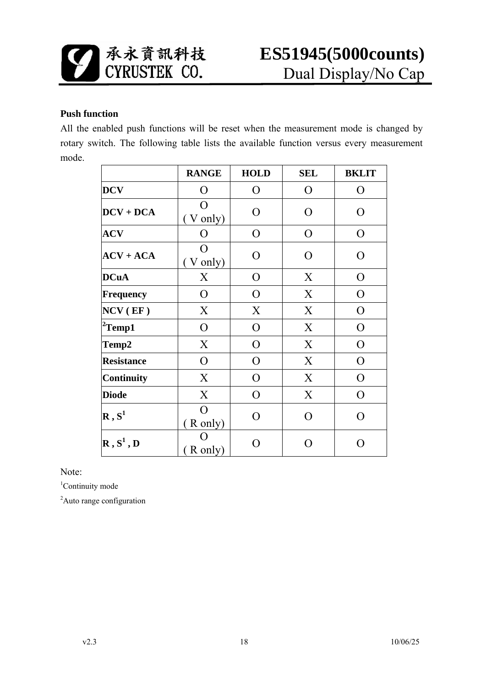![](_page_17_Picture_0.jpeg)

#### **Push function**

All the enabled push functions will be reset when the measurement mode is changed by rotary switch. The following table lists the available function versus every measurement mode.

|                                              | <b>RANGE</b>                | <b>HOLD</b>    | <b>SEL</b>    | <b>BKLIT</b>   |
|----------------------------------------------|-----------------------------|----------------|---------------|----------------|
| <b>DCV</b>                                   | O                           | O              | $\mathbf O$   | $\overline{O}$ |
| $DCV + DCA$                                  | O<br>V only)                | O              | O             | $\overline{O}$ |
| <b>ACV</b>                                   | O                           | O              | O             | $\overline{O}$ |
| $ACV + ACA$                                  | O<br>(V only)               | O              | O             | O              |
| <b>DCuA</b>                                  | X                           | O              | X             | O              |
| <b>Frequency</b>                             | $\Omega$                    | $\Omega$       | X             | $\Omega$       |
| $NCV$ (EF)                                   | X                           | X              | X             | $\overline{O}$ |
| ${}^{2}$ Temp1                               | $\overline{O}$              | O              | X             | $\overline{O}$ |
| Temp2                                        | X                           | O              | X             | $\overline{O}$ |
| <b>Resistance</b>                            | $\overline{O}$              | $\overline{O}$ | X             | $\overline{O}$ |
| <b>Continuity</b>                            | X                           | $\overline{O}$ | X             | $\overline{O}$ |
| <b>Diode</b>                                 | X                           | $\Omega$       | X             | $\Omega$       |
| $\mathbf{R}$ , $\mathbf{S}^1$                | $\Omega$<br>R only)         | $\Omega$       | O             | $\Omega$       |
| $\mathbf{R}$ , $\mathbf{S}^1$ , $\mathbf{D}$ | $\left( \right)$<br>R only) |                | $\mathcal{L}$ | ∩              |

Note:

<sup>1</sup>Continuity mode

<sup>2</sup>Auto range configuration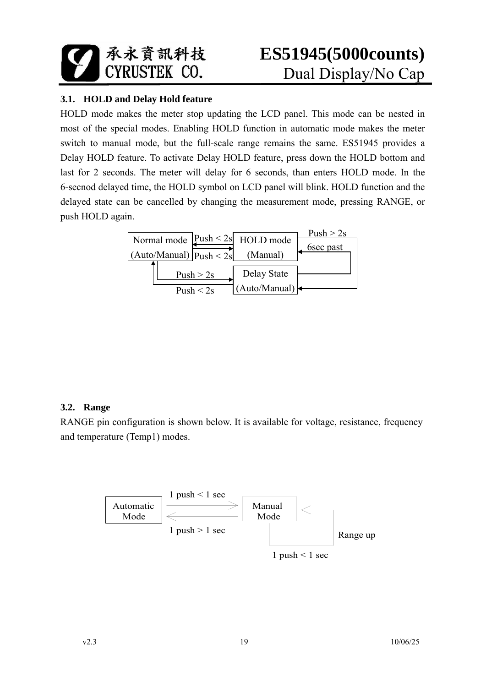![](_page_18_Picture_0.jpeg)

#### **3.1. HOLD and Delay Hold feature**

HOLD mode makes the meter stop updating the LCD panel. This mode can be nested in most of the special modes. Enabling HOLD function in automatic mode makes the meter switch to manual mode, but the full-scale range remains the same. ES51945 provides a Delay HOLD feature. To activate Delay HOLD feature, press down the HOLD bottom and last for 2 seconds. The meter will delay for 6 seconds, than enters HOLD mode. In the 6-secnod delayed time, the HOLD symbol on LCD panel will blink. HOLD function and the delayed state can be cancelled by changing the measurement mode, pressing RANGE, or push HOLD again.

![](_page_18_Figure_4.jpeg)

#### **3.2. Range**

RANGE pin configuration is shown below. It is available for voltage, resistance, frequency and temperature (Temp1) modes.

![](_page_18_Figure_7.jpeg)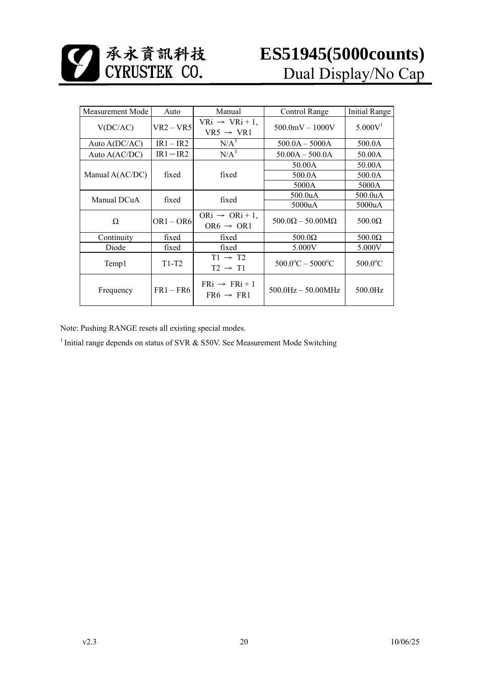| Measurement Mode<br>Auto |             | Manual                                               | Control Range                        | <b>Initial Range</b> |
|--------------------------|-------------|------------------------------------------------------|--------------------------------------|----------------------|
| $VR2 - VR5$<br>V(DC/AC)  |             | $VRi \rightarrow VRi+1$ ,<br>$VR5 \rightarrow VR1$   | $500.0$ mV $- 1000$ V                | 5.000V <sup>1</sup>  |
| Auto A(DC/AC)            | $IR1 - IR2$ | $N/A^3$                                              | $500.0A - 5000A$                     | 500.0A               |
| Auto A(AC/DC)            | $IR1 - IR2$ | $N/A^3$                                              | $50.00A - 500.0A$                    | 50.00A               |
|                          |             |                                                      | 50.00A                               | 50.00A               |
| Manual A(AC/DC)          | fixed       | fixed                                                | 500.0A                               | 500.0A               |
|                          |             |                                                      | 5000A                                | 5000A                |
| Manual DCuA              | fixed       | fixed                                                | 500.0 <sub>u</sub> A                 | 500.0 <sub>u</sub> A |
|                          |             |                                                      | 5000uA                               | 5000uA               |
| Ω                        | $OR1 - OR6$ | $ORi \rightarrow ORi + 1$ ,<br>$OR6 \rightarrow OR1$ | $500.0\Omega - 50.00\text{M}\Omega$  | $500.0\Omega$        |
| Continuity               | fixed       | fixed                                                | $500.0\Omega$                        | $500.0\Omega$        |
| Diode                    | fixed       | fixed                                                | 5.000V                               | 5.000V               |
| $T1-T2$<br>Temp1         |             | $T1 \rightarrow T2$<br>$T2 \rightarrow T1$           | $500.0^{\circ}$ C – $5000^{\circ}$ C | $500.0$ °C           |
| Frequency                | $FR1 - FR6$ | $FRi \rightarrow FRi + 1$<br>$FR6 \rightarrow FR1$   | $500.0$ Hz $-50.00$ MHz              | 500.0Hz              |

Note: Pushing RANGE resets all existing special modes.

<sup>1</sup> Initial range depends on status of SVR & S50V. See Measurement Mode Switching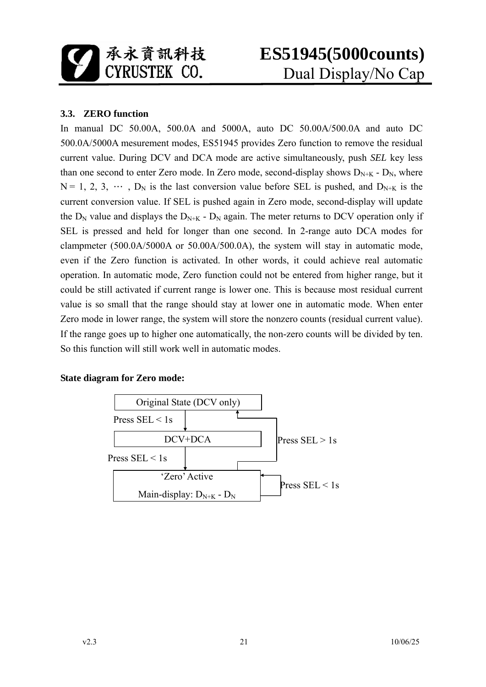![](_page_20_Picture_0.jpeg)

#### **3.3. ZERO function**

In manual DC 50.00A, 500.0A and 5000A, auto DC 50.00A/500.0A and auto DC 500.0A/5000A mesurement modes, ES51945 provides Zero function to remove the residual current value. During DCV and DCA mode are active simultaneously, push *SEL* key less than one second to enter Zero mode. In Zero mode, second-display shows  $D_{N+K}$  -  $D_N$ , where  $N = 1, 2, 3, \cdots$ ,  $D_N$  is the last conversion value before SEL is pushed, and  $D_{N+K}$  is the current conversion value. If SEL is pushed again in Zero mode, second-display will update the  $D_N$  value and displays the  $D_{N+K}$  -  $D_N$  again. The meter returns to DCV operation only if SEL is pressed and held for longer than one second. In 2-range auto DCA modes for clampmeter (500.0A/5000A or 50.00A/500.0A), the system will stay in automatic mode, even if the Zero function is activated. In other words, it could achieve real automatic operation. In automatic mode, Zero function could not be entered from higher range, but it could be still activated if current range is lower one. This is because most residual current value is so small that the range should stay at lower one in automatic mode. When enter Zero mode in lower range, the system will store the nonzero counts (residual current value). If the range goes up to higher one automatically, the non-zero counts will be divided by ten. So this function will still work well in automatic modes.

#### **State diagram for Zero mode:**

![](_page_20_Figure_5.jpeg)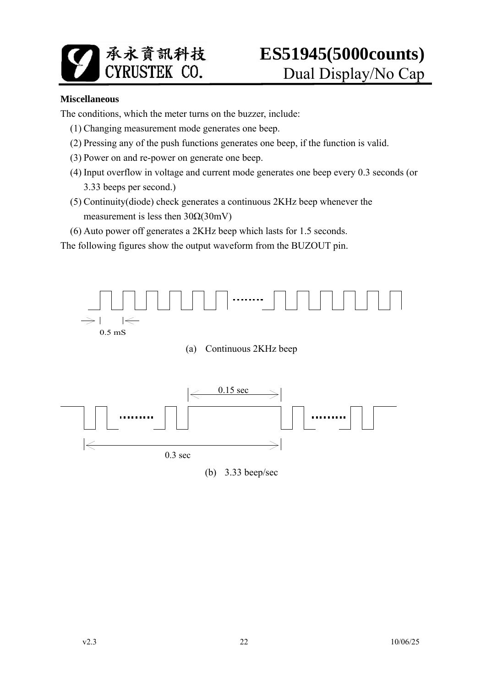![](_page_21_Picture_0.jpeg)

#### **Miscellaneous**

The conditions, which the meter turns on the buzzer, include:

- (1) Changing measurement mode generates one beep.
- (2) Pressing any of the push functions generates one beep, if the function is valid.
- (3) Power on and re-power on generate one beep.
- (4) Input overflow in voltage and current mode generates one beep every 0.3 seconds (or 3.33 beeps per second.)
- (5) Continuity(diode) check generates a continuous 2KHz beep whenever the measurement is less then  $30\Omega(30mV)$
- (6) Auto power off generates a 2KHz beep which lasts for 1.5 seconds.

The following figures show the output waveform from the BUZOUT pin.

![](_page_21_Figure_11.jpeg)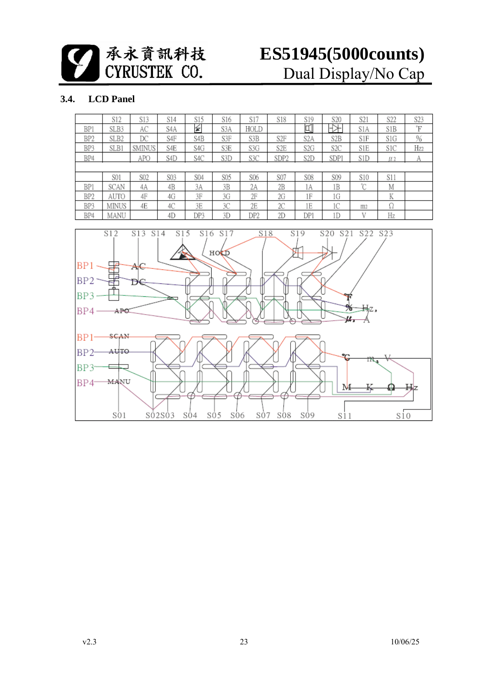承永資訊科技

# **ES51945(5000counts)** Dual Display/No Cap

#### **3.4. LCD Panel**

|                 | S12   | S13    | S14 | S15 | S16 | S17  | S18              | S <sub>19</sub>  | S <sub>20</sub> | S <sub>21</sub> | S22                | S <sub>2</sub> 3 |
|-----------------|-------|--------|-----|-----|-----|------|------------------|------------------|-----------------|-----------------|--------------------|------------------|
| BP1             | SLB3  | AC     | S4A | ≨   | S3A | HOLD |                  | 口                | ⊣<br>⊵          | S1A             | S1B                | F                |
| BP <sub>2</sub> | SLB2  | DС     | S4F | S4B | S3F | S3B  | S2F              | S <sub>2</sub> A | S2B             | S1F             | S1G                | %                |
| BP3             | SLB1  | SMINUS | S4E | S4G | S3E | S3G  | S <sub>2</sub> E | S2G              | S2C             | S1E             | S1C                | Hz2              |
| BP4             |       | APO    | S4D | S4C | S3D | S3C  | SDP <sub>2</sub> | S2D              | SDPI            | S1D             | $\mu$ <sub>2</sub> | А                |
|                 |       |        |     |     |     |      |                  |                  |                 |                 |                    |                  |
|                 | S01   | S02    | S03 | S04 | S05 | S06  | S07              | <b>S08</b>       | S09             | S10             | S11                |                  |
| BP1             | SCAN  | 4Α     | 4B  | 3A  | 3B  | 2A   | 2В               | 1A               | 1B              | $\gamma$        | М                  |                  |
| BP <sub>2</sub> | AUTO  | 4F     | 4G  | 3F  | 3G  | 2F   | 2G               | 1F               | 1G              |                 | K                  |                  |
| BP3             | MINUS | 4E     | 4C  | 3E  | 3C  | 2Е   | 2С               | 1E               | 1С              | m <sub>2</sub>  | Ω                  |                  |
| BP4             | MANU  |        | 4D  | DP3 | 3D  | DP2  | 2D               | DP1              | 1D              | V               | Hz                 |                  |

![](_page_22_Figure_4.jpeg)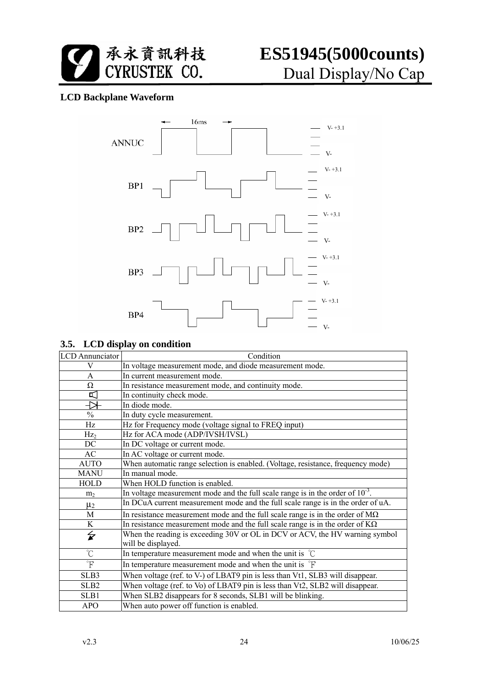![](_page_23_Picture_0.jpeg)

#### **LCD Backplane Waveform**

![](_page_23_Figure_3.jpeg)

#### **3.5. LCD display on condition**

| <b>LCD</b> Annunciator   | Condition                                                                                          |
|--------------------------|----------------------------------------------------------------------------------------------------|
| V                        | In voltage measurement mode, and diode measurement mode.                                           |
| A                        | In current measurement mode.                                                                       |
| Ω                        | In resistance measurement mode, and continuity mode.                                               |
| 띠                        | In continuity check mode.                                                                          |
| ₩                        | In diode mode.                                                                                     |
| $\frac{0}{0}$            | In duty cycle measurement.                                                                         |
| Hz                       | Hz for Frequency mode (voltage signal to FREQ input)                                               |
| Hz <sub>2</sub>          | Hz for ACA mode (ADP/IVSH/IVSL)                                                                    |
| DC                       | In DC voltage or current mode.                                                                     |
| AC                       | In AC voltage or current mode.                                                                     |
| <b>AUTO</b>              | When automatic range selection is enabled. (Voltage, resistance, frequency mode)                   |
| <b>MANU</b>              | In manual mode.                                                                                    |
| HOLD                     | When HOLD function is enabled.                                                                     |
| m <sub>2</sub>           | In voltage measurement mode and the full scale range is in the order of $10^{-3}$ .                |
| $\mu_2$                  | In DCuA current measurement mode and the full scale range is in the order of uA.                   |
| M                        | In resistance measurement mode and the full scale range is in the order of $M\Omega$               |
| $\bf K$                  | In resistance measurement mode and the full scale range is in the order of $K\Omega$               |
| $\overleftarrow{\bm{x}}$ | When the reading is exceeding 30V or OL in DCV or ACV, the HV warning symbol<br>will be displayed. |
| $\overline{C}$           | In temperature measurement mode and when the unit is $\degree$ C                                   |
| $\overline{F}$           | In temperature measurement mode and when the unit is <sup>°</sup> F                                |
| SLB3                     | When voltage (ref. to V-) of LBAT9 pin is less than Vt1, SLB3 will disappear.                      |
| SLB <sub>2</sub>         | When voltage (ref. to Vo) of LBAT9 pin is less than Vt2, SLB2 will disappear.                      |
| SLB1                     | When SLB2 disappears for 8 seconds, SLB1 will be blinking.                                         |
| <b>APO</b>               | When auto power off function is enabled.                                                           |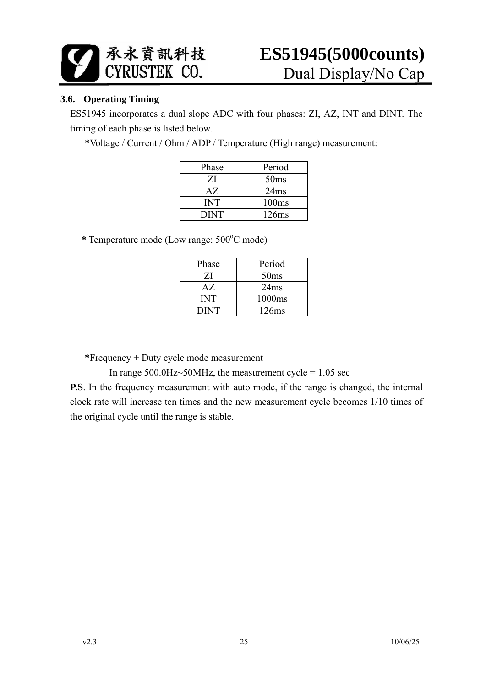![](_page_24_Picture_0.jpeg)

#### **3.6. Operating Timing**

ES51945 incorporates a dual slope ADC with four phases: ZI, AZ, INT and DINT. The timing of each phase is listed below.

**\***Voltage / Current / Ohm / ADP / Temperature (High range) measurement:

| Phase       | Period           |
|-------------|------------------|
| ZI          | 50 <sub>ms</sub> |
| AZ.         | 24ms             |
| <b>INT</b>  | 100ms            |
| <b>DINT</b> | 126ms            |

\* Temperature mode (Low range:  $500^{\circ}$ C mode)

| Phase       | Period           |
|-------------|------------------|
| ZI          | 50 <sub>ms</sub> |
| AZ.         | 24ms             |
| INT         | 1000ms           |
| <b>DINT</b> | 126ms            |

**\***Frequency + Duty cycle mode measurement

In range  $500.0$ Hz $\sim$ 50MHz, the measurement cycle = 1.05 sec

**P.S**. In the frequency measurement with auto mode, if the range is changed, the internal clock rate will increase ten times and the new measurement cycle becomes 1/10 times of the original cycle until the range is stable.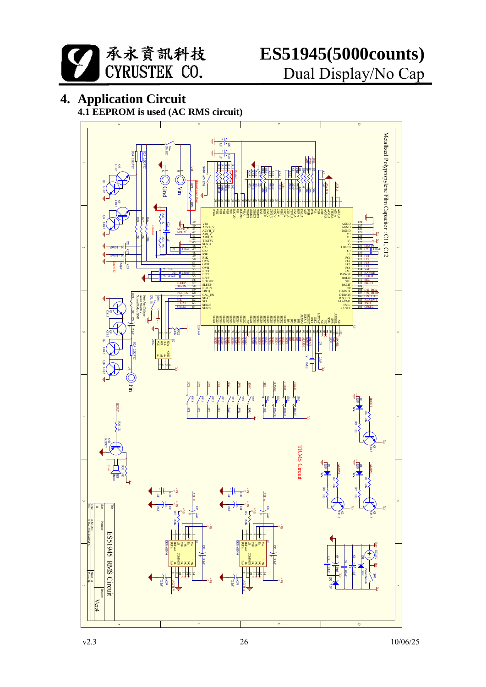![](_page_25_Picture_0.jpeg)

### **4. Application Circuit**

**4.1 EEPROM is used (AC RMS circuit)**

![](_page_25_Figure_4.jpeg)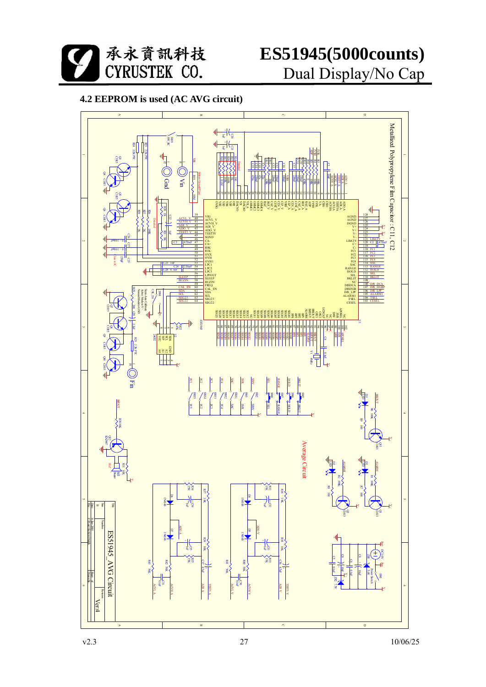![](_page_26_Picture_0.jpeg)

### **4.2 EEPROM is used (AC AVG circuit)**

![](_page_26_Figure_3.jpeg)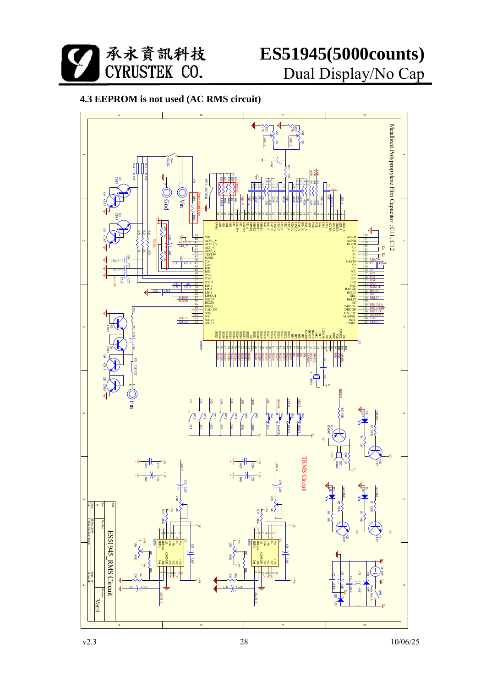![](_page_27_Picture_0.jpeg)

![](_page_27_Figure_2.jpeg)

![](_page_27_Figure_3.jpeg)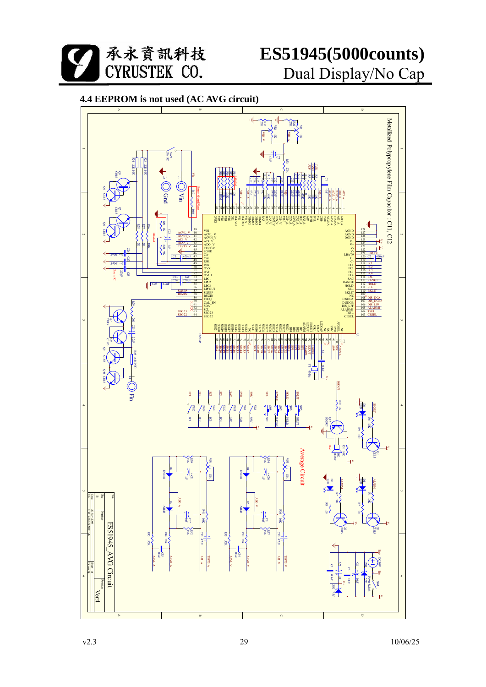![](_page_28_Picture_0.jpeg)

![](_page_28_Figure_2.jpeg)

#### **4.4 EEPROM is not used (AC AVG circuit)**